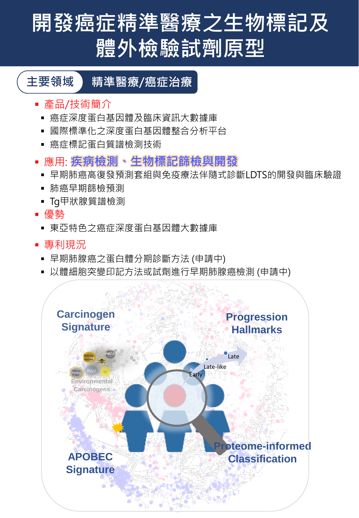# **開發癌症精準醫療之生物標記及 體外檢驗試劑原型**

### **主要領域 精準醫療/癌症治療**

- 產品/技術簡介
	- 癌症深度蛋白基因體及臨床資訊大數據庫
	- 國際標準化之深度蛋白基因體整合分析平台
	- 癌症標記蛋白質譜檢測技術
- 應用: **疾病檢測、生物標記篩檢與開發**
- 早期肺癌高復發預測套組與免疫療法伴隨式診斷LDTS的開發與臨床驗證
- 肺癌早期篩檢預測
- Tg甲狀腺質譜檢測
- 優勢
	- 東亞特色之癌症深度蛋白基因體大數據庫
- 專利現況
- 早期肺腺癌之蛋白體分期診斷方法 (申請中)
- 以體細胞突變印記方法或試劑進行早期肺腺癌檢測 (申請中)

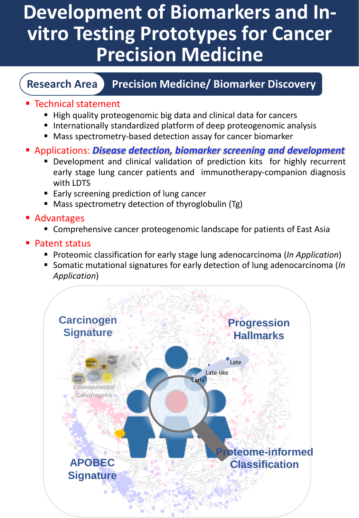# **Development of Biomarkers and Invitro Testing Prototypes for Cancer Precision Medicine**

#### **Research Area Precision Medicine/ Biomarker Discovery**

#### ■ Technical statement

- High quality proteogenomic big data and clinical data for cancers
- Internationally standardized platform of deep proteogenomic analysis
- Mass spectrometry-based detection assay for cancer biomarker
- Applications: *Disease detection, biomarker screening and development*
	- **•** Development and clinical validation of prediction kits for highly recurrent early stage lung cancer patients and immunotherapy-companion diagnosis with LDTS
	- Early screening prediction of lung cancer
	- Mass spectrometry detection of thyroglobulin (Tg)
- **Advantages** 
	- Comprehensive cancer proteogenomic landscape for patients of East Asia
- **Patent status** 
	- Proteomic classification for early stage lung adenocarcinoma (*In Application*)
	- Somatic mutational signatures for early detection of lung adenocarcinoma (*In Application*)